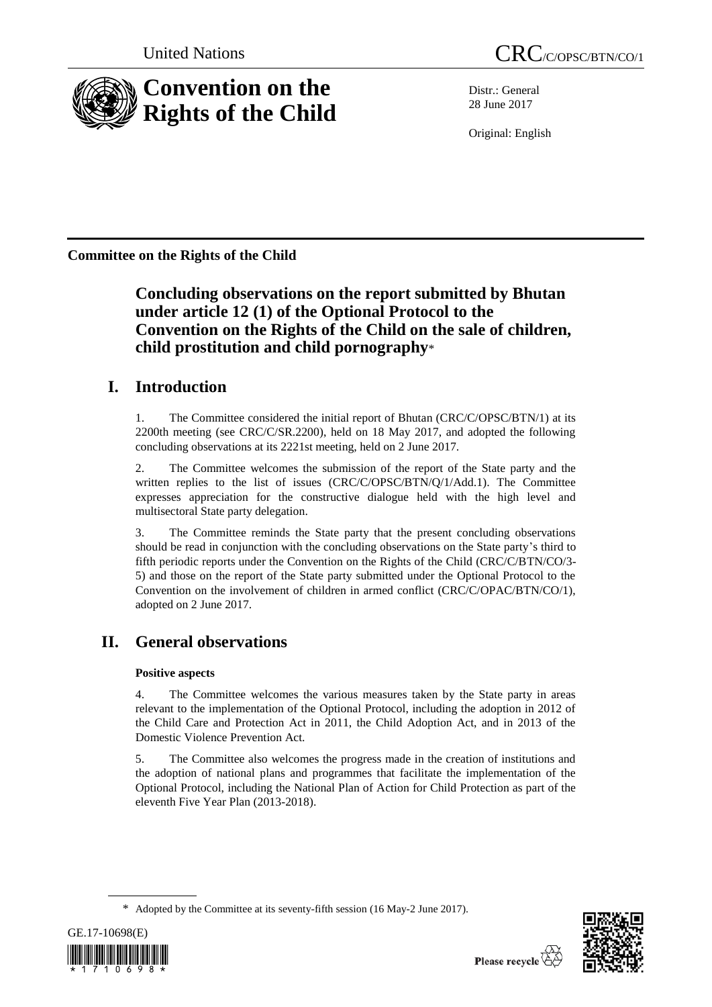

Distr.: General 28 June 2017

Original: English

**Committee on the Rights of the Child**

# **Concluding observations on the report submitted by Bhutan under article 12 (1) of the Optional Protocol to the Convention on the Rights of the Child on the sale of children, child prostitution and child pornography**\*

# **I. Introduction**

1. The Committee considered the initial report of Bhutan (CRC/C/OPSC/BTN/1) at its 2200th meeting (see CRC/C/SR.2200), held on 18 May 2017, and adopted the following concluding observations at its 2221st meeting, held on 2 June 2017.

2. The Committee welcomes the submission of the report of the State party and the written replies to the list of issues (CRC/C/OPSC/BTN/Q/1/Add.1). The Committee expresses appreciation for the constructive dialogue held with the high level and multisectoral State party delegation.

3. The Committee reminds the State party that the present concluding observations should be read in conjunction with the concluding observations on the State party's third to fifth periodic reports under the Convention on the Rights of the Child (CRC/C/BTN/CO/3- 5) and those on the report of the State party submitted under the Optional Protocol to the Convention on the involvement of children in armed conflict (CRC/C/OPAC/BTN/CO/1), adopted on 2 June 2017.

# **II. General observations**

### **Positive aspects**

4. The Committee welcomes the various measures taken by the State party in areas relevant to the implementation of the Optional Protocol, including the adoption in 2012 of the Child Care and Protection Act in 2011, the Child Adoption Act, and in 2013 of the Domestic Violence Prevention Act.

5. The Committee also welcomes the progress made in the creation of institutions and the adoption of national plans and programmes that facilitate the implementation of the Optional Protocol, including the National Plan of Action for Child Protection as part of the eleventh Five Year Plan (2013-2018).

<sup>\*</sup> Adopted by the Committee at its seventy-fifth session (16 May-2 June 2017).



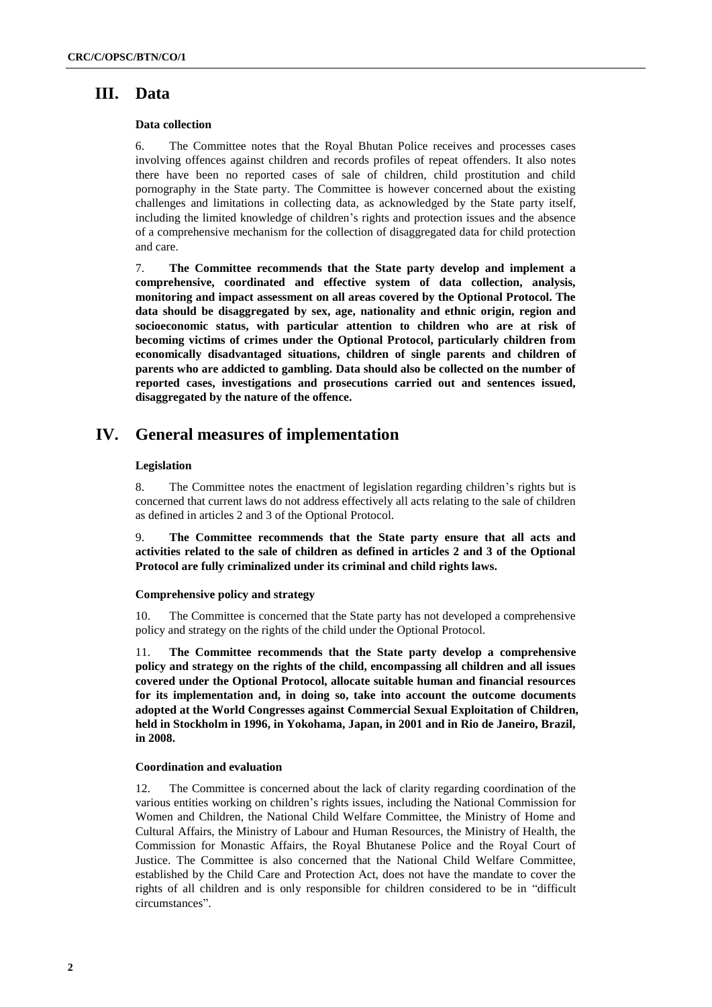## **III. Data**

#### **Data collection**

6. The Committee notes that the Royal Bhutan Police receives and processes cases involving offences against children and records profiles of repeat offenders. It also notes there have been no reported cases of sale of children, child prostitution and child pornography in the State party. The Committee is however concerned about the existing challenges and limitations in collecting data, as acknowledged by the State party itself, including the limited knowledge of children's rights and protection issues and the absence of a comprehensive mechanism for the collection of disaggregated data for child protection and care.

7. **The Committee recommends that the State party develop and implement a comprehensive, coordinated and effective system of data collection, analysis, monitoring and impact assessment on all areas covered by the Optional Protocol. The data should be disaggregated by sex, age, nationality and ethnic origin, region and socioeconomic status, with particular attention to children who are at risk of becoming victims of crimes under the Optional Protocol, particularly children from economically disadvantaged situations, children of single parents and children of parents who are addicted to gambling. Data should also be collected on the number of reported cases, investigations and prosecutions carried out and sentences issued, disaggregated by the nature of the offence.**

## **IV. General measures of implementation**

#### **Legislation**

8. The Committee notes the enactment of legislation regarding children's rights but is concerned that current laws do not address effectively all acts relating to the sale of children as defined in articles 2 and 3 of the Optional Protocol.

9. **The Committee recommends that the State party ensure that all acts and activities related to the sale of children as defined in articles 2 and 3 of the Optional Protocol are fully criminalized under its criminal and child rights laws.**

#### **Comprehensive policy and strategy**

10. The Committee is concerned that the State party has not developed a comprehensive policy and strategy on the rights of the child under the Optional Protocol.

11. **The Committee recommends that the State party develop a comprehensive policy and strategy on the rights of the child, encompassing all children and all issues covered under the Optional Protocol, allocate suitable human and financial resources for its implementation and, in doing so, take into account the outcome documents adopted at the World Congresses against Commercial Sexual Exploitation of Children, held in Stockholm in 1996, in Yokohama, Japan, in 2001 and in Rio de Janeiro, Brazil, in 2008.**

#### **Coordination and evaluation**

12. The Committee is concerned about the lack of clarity regarding coordination of the various entities working on children's rights issues, including the National Commission for Women and Children, the National Child Welfare Committee, the Ministry of Home and Cultural Affairs, the Ministry of Labour and Human Resources, the Ministry of Health, the Commission for Monastic Affairs, the Royal Bhutanese Police and the Royal Court of Justice. The Committee is also concerned that the National Child Welfare Committee, established by the Child Care and Protection Act, does not have the mandate to cover the rights of all children and is only responsible for children considered to be in "difficult circumstances".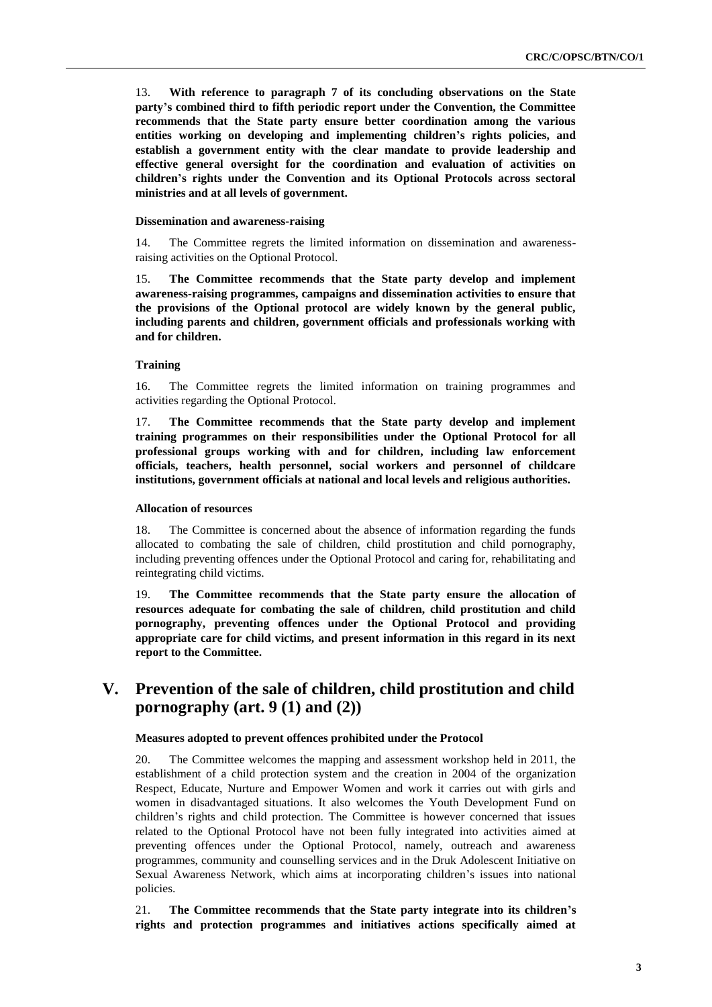13. **With reference to paragraph 7 of its concluding observations on the State party's combined third to fifth periodic report under the Convention, the Committee recommends that the State party ensure better coordination among the various entities working on developing and implementing children's rights policies, and establish a government entity with the clear mandate to provide leadership and effective general oversight for the coordination and evaluation of activities on children's rights under the Convention and its Optional Protocols across sectoral ministries and at all levels of government.**

#### **Dissemination and awareness-raising**

14. The Committee regrets the limited information on dissemination and awarenessraising activities on the Optional Protocol.

15. **The Committee recommends that the State party develop and implement awareness-raising programmes, campaigns and dissemination activities to ensure that the provisions of the Optional protocol are widely known by the general public, including parents and children, government officials and professionals working with and for children.**

#### **Training**

16. The Committee regrets the limited information on training programmes and activities regarding the Optional Protocol.

17. **The Committee recommends that the State party develop and implement training programmes on their responsibilities under the Optional Protocol for all professional groups working with and for children, including law enforcement officials, teachers, health personnel, social workers and personnel of childcare institutions, government officials at national and local levels and religious authorities.**

#### **Allocation of resources**

18. The Committee is concerned about the absence of information regarding the funds allocated to combating the sale of children, child prostitution and child pornography, including preventing offences under the Optional Protocol and caring for, rehabilitating and reintegrating child victims.

19. **The Committee recommends that the State party ensure the allocation of resources adequate for combating the sale of children, child prostitution and child pornography, preventing offences under the Optional Protocol and providing appropriate care for child victims, and present information in this regard in its next report to the Committee.** 

## **V. Prevention of the sale of children, child prostitution and child pornography (art. 9 (1) and (2))**

#### **Measures adopted to prevent offences prohibited under the Protocol**

20. The Committee welcomes the mapping and assessment workshop held in 2011, the establishment of a child protection system and the creation in 2004 of the organization Respect, Educate, Nurture and Empower Women and work it carries out with girls and women in disadvantaged situations. It also welcomes the Youth Development Fund on children's rights and child protection. The Committee is however concerned that issues related to the Optional Protocol have not been fully integrated into activities aimed at preventing offences under the Optional Protocol, namely, outreach and awareness programmes, community and counselling services and in the Druk Adolescent Initiative on Sexual Awareness Network, which aims at incorporating children's issues into national policies.

21. **The Committee recommends that the State party integrate into its children's rights and protection programmes and initiatives actions specifically aimed at**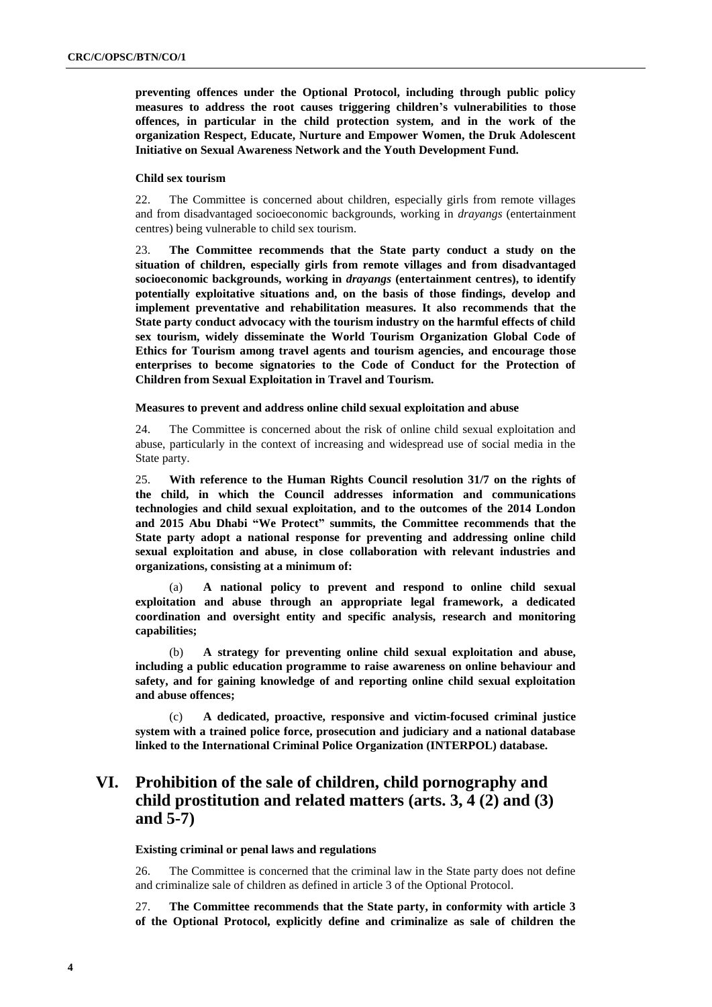**preventing offences under the Optional Protocol, including through public policy measures to address the root causes triggering children's vulnerabilities to those offences, in particular in the child protection system, and in the work of the organization Respect, Educate, Nurture and Empower Women, the Druk Adolescent Initiative on Sexual Awareness Network and the Youth Development Fund.** 

#### **Child sex tourism**

22. The Committee is concerned about children, especially girls from remote villages and from disadvantaged socioeconomic backgrounds, working in *drayangs* (entertainment centres) being vulnerable to child sex tourism.

23. **The Committee recommends that the State party conduct a study on the situation of children, especially girls from remote villages and from disadvantaged socioeconomic backgrounds, working in** *drayangs* **(entertainment centres), to identify potentially exploitative situations and, on the basis of those findings, develop and implement preventative and rehabilitation measures. It also recommends that the State party conduct advocacy with the tourism industry on the harmful effects of child sex tourism, widely disseminate the World Tourism Organization Global Code of Ethics for Tourism among travel agents and tourism agencies, and encourage those enterprises to become signatories to the Code of Conduct for the Protection of Children from Sexual Exploitation in Travel and Tourism.** 

#### **Measures to prevent and address online child sexual exploitation and abuse**

24. The Committee is concerned about the risk of online child sexual exploitation and abuse, particularly in the context of increasing and widespread use of social media in the State party.

25. **With reference to the Human Rights Council resolution 31/7 on the rights of the child, in which the Council addresses information and communications technologies and child sexual exploitation, and to the outcomes of the 2014 London and 2015 Abu Dhabi "We Protect" summits, the Committee recommends that the State party adopt a national response for preventing and addressing online child sexual exploitation and abuse, in close collaboration with relevant industries and organizations, consisting at a minimum of:** 

(a) **A national policy to prevent and respond to online child sexual exploitation and abuse through an appropriate legal framework, a dedicated coordination and oversight entity and specific analysis, research and monitoring capabilities;** 

(b) **A strategy for preventing online child sexual exploitation and abuse, including a public education programme to raise awareness on online behaviour and safety, and for gaining knowledge of and reporting online child sexual exploitation and abuse offences;**

(c) **A dedicated, proactive, responsive and victim-focused criminal justice system with a trained police force, prosecution and judiciary and a national database linked to the International Criminal Police Organization (INTERPOL) database.**

# **VI. Prohibition of the sale of children, child pornography and child prostitution and related matters (arts. 3, 4 (2) and (3) and 5-7)**

#### **Existing criminal or penal laws and regulations**

26. The Committee is concerned that the criminal law in the State party does not define and criminalize sale of children as defined in article 3 of the Optional Protocol.

27. **The Committee recommends that the State party, in conformity with article 3 of the Optional Protocol, explicitly define and criminalize as sale of children the**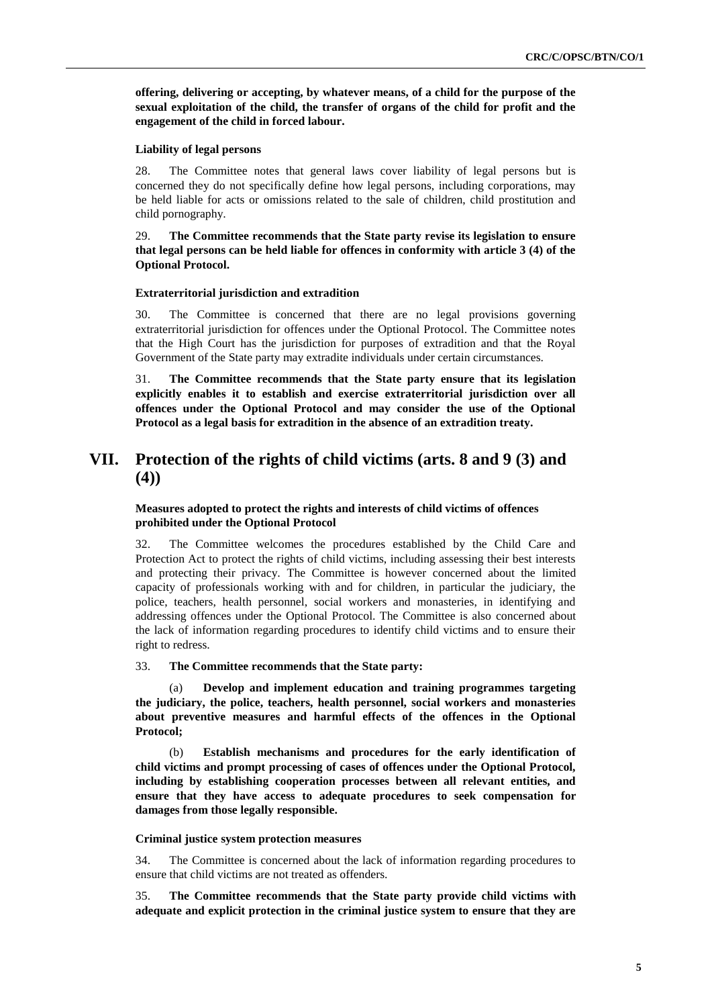**offering, delivering or accepting, by whatever means, of a child for the purpose of the sexual exploitation of the child, the transfer of organs of the child for profit and the engagement of the child in forced labour.**

#### **Liability of legal persons**

28. The Committee notes that general laws cover liability of legal persons but is concerned they do not specifically define how legal persons, including corporations, may be held liable for acts or omissions related to the sale of children, child prostitution and child pornography.

#### 29. **The Committee recommends that the State party revise its legislation to ensure that legal persons can be held liable for offences in conformity with article 3 (4) of the Optional Protocol.**

#### **Extraterritorial jurisdiction and extradition**

30. The Committee is concerned that there are no legal provisions governing extraterritorial jurisdiction for offences under the Optional Protocol. The Committee notes that the High Court has the jurisdiction for purposes of extradition and that the Royal Government of the State party may extradite individuals under certain circumstances.

31. **The Committee recommends that the State party ensure that its legislation explicitly enables it to establish and exercise extraterritorial jurisdiction over all offences under the Optional Protocol and may consider the use of the Optional Protocol as a legal basis for extradition in the absence of an extradition treaty.** 

# **VII. Protection of the rights of child victims (arts. 8 and 9 (3) and (4))**

#### **Measures adopted to protect the rights and interests of child victims of offences prohibited under the Optional Protocol**

32. The Committee welcomes the procedures established by the Child Care and Protection Act to protect the rights of child victims, including assessing their best interests and protecting their privacy. The Committee is however concerned about the limited capacity of professionals working with and for children, in particular the judiciary, the police, teachers, health personnel, social workers and monasteries, in identifying and addressing offences under the Optional Protocol. The Committee is also concerned about the lack of information regarding procedures to identify child victims and to ensure their right to redress.

#### 33. **The Committee recommends that the State party:**

(a) **Develop and implement education and training programmes targeting the judiciary, the police, teachers, health personnel, social workers and monasteries about preventive measures and harmful effects of the offences in the Optional Protocol;** 

(b) **Establish mechanisms and procedures for the early identification of child victims and prompt processing of cases of offences under the Optional Protocol, including by establishing cooperation processes between all relevant entities, and ensure that they have access to adequate procedures to seek compensation for damages from those legally responsible.**

#### **Criminal justice system protection measures**

34. The Committee is concerned about the lack of information regarding procedures to ensure that child victims are not treated as offenders.

35. **The Committee recommends that the State party provide child victims with adequate and explicit protection in the criminal justice system to ensure that they are**